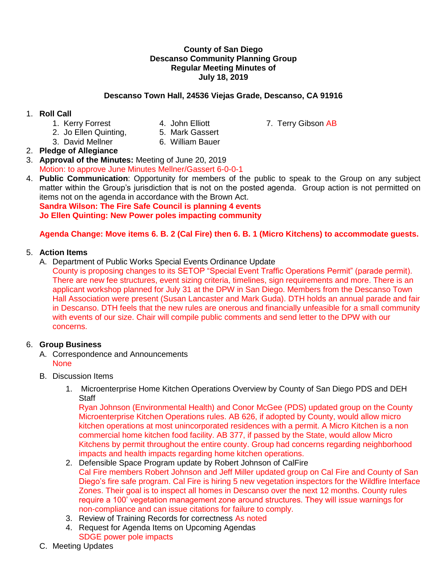#### **County of San Diego Descanso Community Planning Group Regular Meeting Minutes of July 18, 2019**

#### **Descanso Town Hall, 24536 Viejas Grade, Descanso, CA 91916**

### 1. **Roll Call**

- 
- 
- 1. Kerry Forrest **4. John Elliott** 7. Terry Gibson AB<br>2. Jo Ellen Quinting. 6. Mark Gassert
- 2. Jo Ellen Quinting,
- 
- 3. David Mellner 6. William Bauer 2. **Pledge of Allegiance**
- 3. **Approval of the Minutes:** Meeting of June 20, 2019 Motion: to approve June Minutes Mellner/Gassert 6-0-0-1
- 4. **Public Communication**: Opportunity for members of the public to speak to the Group on any subject matter within the Group's jurisdiction that is not on the posted agenda. Group action is not permitted on items not on the agenda in accordance with the Brown Act.

**Sandra Wilson: The Fire Safe Council is planning 4 events Jo Ellen Quinting: New Power poles impacting community**

# **Agenda Change: Move items 6. B. 2 (Cal Fire) then 6. B. 1 (Micro Kitchens) to accommodate guests.**

# 5. **Action Items**

A. Department of Public Works Special Events Ordinance Update

County is proposing changes to its SETOP "Special Event Traffic Operations Permit" (parade permit). There are new fee structures, event sizing criteria, timelines, sign requirements and more. There is an applicant workshop planned for July 31 at the DPW in San Diego. Members from the Descanso Town Hall Association were present (Susan Lancaster and Mark Guda). DTH holds an annual parade and fair in Descanso. DTH feels that the new rules are onerous and financially unfeasible for a small community with events of our size. Chair will compile public comments and send letter to the DPW with our concerns.

#### 6. **Group Business**

- A. Correspondence and Announcements **None**
- B. Discussion Items
	- 1. Microenterprise Home Kitchen Operations Overview by County of San Diego PDS and DEH **Staff**

Ryan Johnson (Environmental Health) and Conor McGee (PDS) updated group on the County Microenterprise Kitchen Operations rules. AB 626, if adopted by County, would allow micro kitchen operations at most unincorporated residences with a permit. A Micro Kitchen is a non commercial home kitchen food facility. AB 377, if passed by the State, would allow Micro Kitchens by permit throughout the entire county. Group had concerns regarding neighborhood impacts and health impacts regarding home kitchen operations.

- 2. Defensible Space Program update by Robert Johnson of CalFire Cal Fire members Robert Johnson and Jeff Miller updated group on Cal Fire and County of San Diego's fire safe program. Cal Fire is hiring 5 new vegetation inspectors for the Wildfire Interface Zones. Their goal is to inspect all homes in Descanso over the next 12 months. County rules require a 100' vegetation management zone around structures. They will issue warnings for non-compliance and can issue citations for failure to comply.
- 3. Review of Training Records for correctness As noted
- 4. Request for Agenda Items on Upcoming Agendas SDGE power pole impacts
- C. Meeting Updates